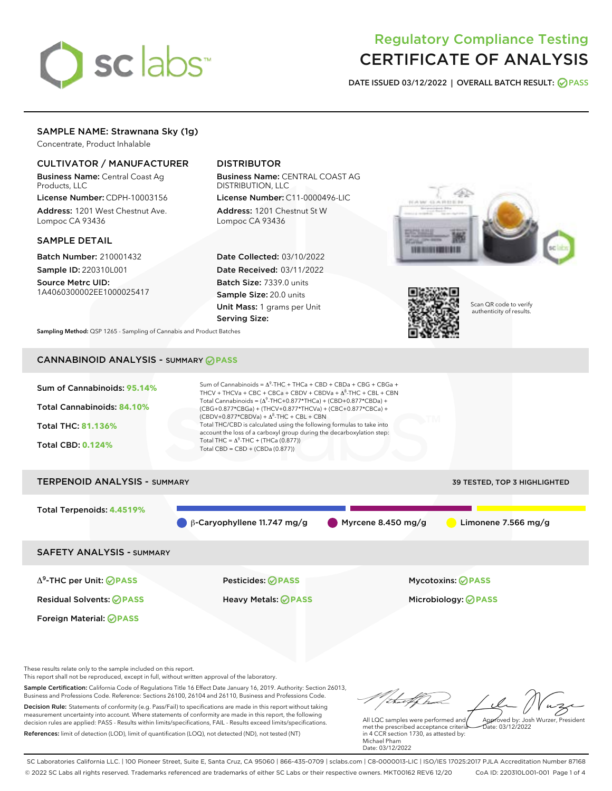# sclabs<sup>\*</sup>

# Regulatory Compliance Testing CERTIFICATE OF ANALYSIS

DATE ISSUED 03/12/2022 | OVERALL BATCH RESULT: @ PASS

# SAMPLE NAME: Strawnana Sky (1g)

Concentrate, Product Inhalable

## CULTIVATOR / MANUFACTURER

Business Name: Central Coast Ag Products, LLC

License Number: CDPH-10003156 Address: 1201 West Chestnut Ave. Lompoc CA 93436

#### SAMPLE DETAIL

Batch Number: 210001432 Sample ID: 220310L001

Source Metrc UID: 1A4060300002EE1000025417

# DISTRIBUTOR

Business Name: CENTRAL COAST AG DISTRIBUTION, LLC License Number: C11-0000496-LIC

Address: 1201 Chestnut St W Lompoc CA 93436

Date Collected: 03/10/2022 Date Received: 03/11/2022 Batch Size: 7339.0 units Sample Size: 20.0 units Unit Mass: 1 grams per Unit Serving Size:





Scan QR code to verify authenticity of results.

Sampling Method: QSP 1265 - Sampling of Cannabis and Product Batches

# CANNABINOID ANALYSIS - SUMMARY **PASS**



Sample Certification: California Code of Regulations Title 16 Effect Date January 16, 2019. Authority: Section 26013, Business and Professions Code. Reference: Sections 26100, 26104 and 26110, Business and Professions Code. Decision Rule: Statements of conformity (e.g. Pass/Fail) to specifications are made in this report without taking measurement uncertainty into account. Where statements of conformity are made in this report, the following decision rules are applied: PASS - Results within limits/specifications, FAIL - Results exceed limits/specifications.

References: limit of detection (LOD), limit of quantification (LOQ), not detected (ND), not tested (NT)

All LQC samples were performed and met the prescribed acceptance criteria Approved by: Josh Wurzer, President  $hat: 03/12/2022$ 

in 4 CCR section 1730, as attested by: Michael Pham Date: 03/12/2022

SC Laboratories California LLC. | 100 Pioneer Street, Suite E, Santa Cruz, CA 95060 | 866-435-0709 | sclabs.com | C8-0000013-LIC | ISO/IES 17025:2017 PJLA Accreditation Number 87168 © 2022 SC Labs all rights reserved. Trademarks referenced are trademarks of either SC Labs or their respective owners. MKT00162 REV6 12/20 CoA ID: 220310L001-001 Page 1 of 4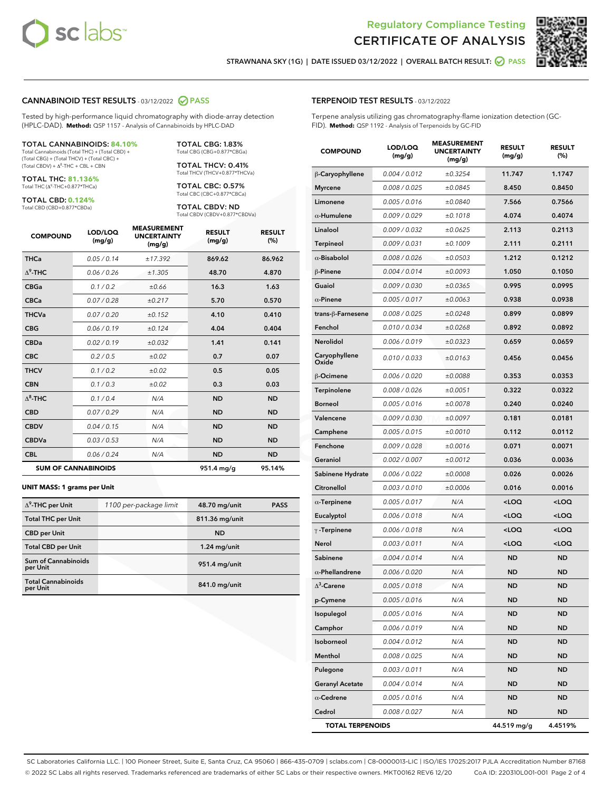



STRAWNANA SKY (1G) | DATE ISSUED 03/12/2022 | OVERALL BATCH RESULT: @ PASS

#### CANNABINOID TEST RESULTS - 03/12/2022 2 PASS

Tested by high-performance liquid chromatography with diode-array detection (HPLC-DAD). **Method:** QSP 1157 - Analysis of Cannabinoids by HPLC-DAD

#### TOTAL CANNABINOIDS: **84.10%**

Total Cannabinoids (Total THC) + (Total CBD) + (Total CBG) + (Total THCV) + (Total CBC) +  $(Total$  CBDV) +  $\Delta$ <sup>8</sup>-THC + CBL + CBN

TOTAL THC: **81.136%** Total THC (Δ<sup>9</sup> -THC+0.877\*THCa)

TOTAL CBD: **0.124%**

Total CBD (CBD+0.877\*CBDa)

TOTAL CBG: 1.83% Total CBG (CBG+0.877\*CBGa)

TOTAL THCV: 0.41% Total THCV (THCV+0.877\*THCVa)

TOTAL CBC: 0.57% Total CBC (CBC+0.877\*CBCa)

TOTAL CBDV: ND Total CBDV (CBDV+0.877\*CBDVa)

| <b>COMPOUND</b>  | LOD/LOQ<br>(mg/g)          | <b>MEASUREMENT</b><br><b>UNCERTAINTY</b><br>(mg/g) | <b>RESULT</b><br>(mg/g) | <b>RESULT</b><br>(%) |
|------------------|----------------------------|----------------------------------------------------|-------------------------|----------------------|
| <b>THCa</b>      | 0.05/0.14                  | ±17.392                                            | 869.62                  | 86.962               |
| $\Delta^9$ -THC  | 0.06 / 0.26                | ±1.305                                             | 48.70                   | 4.870                |
| <b>CBGa</b>      | 0.1 / 0.2                  | ±0.66                                              | 16.3                    | 1.63                 |
| <b>CBCa</b>      | 0.07 / 0.28                | ±0.217                                             | 5.70                    | 0.570                |
| <b>THCVa</b>     | 0.07/0.20                  | ±0.152                                             | 4.10                    | 0.410                |
| <b>CBG</b>       | 0.06/0.19                  | ±0.124                                             | 4.04                    | 0.404                |
| <b>CBDa</b>      | 0.02/0.19                  | ±0.032                                             | 1.41                    | 0.141                |
| <b>CBC</b>       | 0.2 / 0.5                  | ±0.02                                              | 0.7                     | 0.07                 |
| <b>THCV</b>      | 0.1/0.2                    | ±0.02                                              | 0.5                     | 0.05                 |
| <b>CBN</b>       | 0.1/0.3                    | ±0.02                                              | 0.3                     | 0.03                 |
| $\Lambda^8$ -THC | 0.1/0.4                    | N/A                                                | <b>ND</b>               | <b>ND</b>            |
| <b>CBD</b>       | 0.07/0.29                  | N/A                                                | <b>ND</b>               | <b>ND</b>            |
| <b>CBDV</b>      | 0.04 / 0.15                | N/A                                                | <b>ND</b>               | <b>ND</b>            |
| <b>CBDVa</b>     | 0.03/0.53                  | N/A                                                | <b>ND</b>               | <b>ND</b>            |
| <b>CBL</b>       | 0.06 / 0.24                | N/A                                                | <b>ND</b>               | <b>ND</b>            |
|                  | <b>SUM OF CANNABINOIDS</b> |                                                    | 951.4 mg/g              | 95.14%               |

#### **UNIT MASS: 1 grams per Unit**

| $\Delta^9$ -THC per Unit               | 1100 per-package limit | 48.70 mg/unit  | <b>PASS</b> |
|----------------------------------------|------------------------|----------------|-------------|
| <b>Total THC per Unit</b>              |                        | 811.36 mg/unit |             |
| <b>CBD</b> per Unit                    |                        | <b>ND</b>      |             |
| <b>Total CBD per Unit</b>              |                        | $1.24$ mg/unit |             |
| <b>Sum of Cannabinoids</b><br>per Unit |                        | 951.4 mg/unit  |             |
| <b>Total Cannabinoids</b><br>per Unit  |                        | 841.0 mg/unit  |             |

| <b>COMPOUND</b>        | LOD/LOQ<br>(mg/g) | <b>MEASUREMENT</b><br><b>UNCERTAINTY</b><br>(mg/g) | <b>RESULT</b><br>(mg/g)                          | <b>RESULT</b><br>(%) |
|------------------------|-------------------|----------------------------------------------------|--------------------------------------------------|----------------------|
| β-Caryophyllene        | 0.004 / 0.012     | ±0.3254                                            | 11.747                                           | 1.1747               |
| Myrcene                | 0.008 / 0.025     | ±0.0845                                            | 8.450                                            | 0.8450               |
| Limonene               | 0.005 / 0.016     | ±0.0840                                            | 7.566                                            | 0.7566               |
| $\alpha$ -Humulene     | 0.009 / 0.029     | ±0.1018                                            | 4.074                                            | 0.4074               |
| Linalool               | 0.009 / 0.032     | ±0.0625                                            | 2.113                                            | 0.2113               |
| Terpineol              | 0.009 / 0.031     | ±0.1009                                            | 2.111                                            | 0.2111               |
| $\alpha$ -Bisabolol    | 0.008 / 0.026     | ±0.0503                                            | 1.212                                            | 0.1212               |
| $\beta$ -Pinene        | 0.004 / 0.014     | ±0.0093                                            | 1.050                                            | 0.1050               |
| Guaiol                 | 0.009 / 0.030     | ±0.0365                                            | 0.995                                            | 0.0995               |
| $\alpha$ -Pinene       | 0.005 / 0.017     | ±0.0063                                            | 0.938                                            | 0.0938               |
| trans-β-Farnesene      | 0.008 / 0.025     | ±0.0248                                            | 0.899                                            | 0.0899               |
| Fenchol                | 0.010 / 0.034     | ±0.0268                                            | 0.892                                            | 0.0892               |
| Nerolidol              | 0.006 / 0.019     | ±0.0323                                            | 0.659                                            | 0.0659               |
| Caryophyllene<br>Oxide | 0.010 / 0.033     | ±0.0163                                            | 0.456                                            | 0.0456               |
| β-Ocimene              | 0.006 / 0.020     | ±0.0088                                            | 0.353                                            | 0.0353               |
| Terpinolene            | 0.008 / 0.026     | ±0.0051                                            | 0.322                                            | 0.0322               |
| Borneol                | 0.005 / 0.016     | ±0.0078                                            | 0.240                                            | 0.0240               |
| Valencene              | 0.009 / 0.030     | ±0.0097                                            | 0.181                                            | 0.0181               |
| Camphene               | 0.005 / 0.015     | ±0.0010                                            | 0.112                                            | 0.0112               |
| Fenchone               | 0.009 / 0.028     | ±0.0016                                            | 0.071                                            | 0.0071               |
| Geraniol               | 0.002 / 0.007     | ±0.0012                                            | 0.036                                            | 0.0036               |
| Sabinene Hydrate       | 0.006 / 0.022     | ±0.0008                                            | 0.026                                            | 0.0026               |
| Citronellol            | 0.003 / 0.010     | ±0.0006                                            | 0.016                                            | 0.0016               |
| $\alpha$ -Terpinene    | 0.005 / 0.017     | N/A                                                | <loq< th=""><th><math>&lt;</math>LOQ</th></loq<> | $<$ LOQ              |
| Eucalyptol             | 0.006 / 0.018     | N/A                                                | <loq< th=""><th><loq< th=""></loq<></th></loq<>  | <loq< th=""></loq<>  |
| $\gamma$ -Terpinene    | 0.006 / 0.018     | N/A                                                | <loq< th=""><th><loq< th=""></loq<></th></loq<>  | <loq< th=""></loq<>  |
| Nerol                  | 0.003 / 0.011     | N/A                                                | <loq< th=""><th><loq< th=""></loq<></th></loq<>  | <loq< th=""></loq<>  |
| Sabinene               | 0.004 / 0.014     | N/A                                                | <b>ND</b>                                        | <b>ND</b>            |
| $\alpha$ -Phellandrene | 0.006 / 0.020     | N/A                                                | <b>ND</b>                                        | ND                   |
| $\Lambda^3$ -Carene    | 0.005 / 0.018     | N/A                                                | <b>ND</b>                                        | <b>ND</b>            |
| p-Cymene               | 0.005 / 0.016     | N/A                                                | ND                                               | ND                   |
| Isopulegol             | 0.005 / 0.016     | N/A                                                | ND                                               | ND                   |
| Camphor                | 0.006 / 0.019     | N/A                                                | <b>ND</b>                                        | ND                   |
| Isoborneol             | 0.004 / 0.012     | N/A                                                | ND                                               | ND                   |
| Menthol                | 0.008 / 0.025     | N/A                                                | <b>ND</b>                                        | ND                   |
| Pulegone               | 0.003 / 0.011     | N/A                                                | <b>ND</b>                                        | ND                   |
| <b>Geranyl Acetate</b> | 0.004 / 0.014     | N/A                                                | ND                                               | ND                   |
| $\alpha$ -Cedrene      | 0.005 / 0.016     | N/A                                                | ND                                               | ND                   |
| Cedrol                 | 0.008 / 0.027     | N/A                                                | <b>ND</b>                                        | ND                   |

TOTAL TERPENOIDS 44.519 mg/g 4.4519%

SC Laboratories California LLC. | 100 Pioneer Street, Suite E, Santa Cruz, CA 95060 | 866-435-0709 | sclabs.com | C8-0000013-LIC | ISO/IES 17025:2017 PJLA Accreditation Number 87168 © 2022 SC Labs all rights reserved. Trademarks referenced are trademarks of either SC Labs or their respective owners. MKT00162 REV6 12/20 CoA ID: 220310L001-001 Page 2 of 4

## TERPENOID TEST RESULTS - 03/12/2022

Terpene analysis utilizing gas chromatography-flame ionization detection (GC-FID). **Method:** QSP 1192 - Analysis of Terpenoids by GC-FID

MEASUREMENT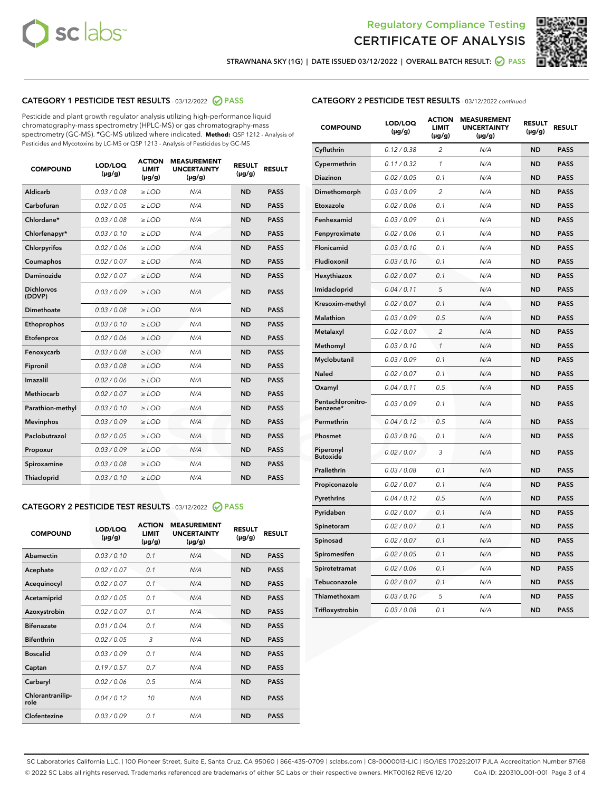



STRAWNANA SKY (1G) | DATE ISSUED 03/12/2022 | OVERALL BATCH RESULT:  $\bigcirc$  PASS

#### CATEGORY 1 PESTICIDE TEST RESULTS - 03/12/2022 2 PASS

Pesticide and plant growth regulator analysis utilizing high-performance liquid chromatography-mass spectrometry (HPLC-MS) or gas chromatography-mass spectrometry (GC-MS). \*GC-MS utilized where indicated. **Method:** QSP 1212 - Analysis of Pesticides and Mycotoxins by LC-MS or QSP 1213 - Analysis of Pesticides by GC-MS

| <b>COMPOUND</b>             | LOD/LOQ<br>$(\mu g/g)$ | <b>ACTION</b><br><b>LIMIT</b><br>$(\mu g/g)$ | <b>MEASUREMENT</b><br><b>UNCERTAINTY</b><br>$(\mu g/g)$ | <b>RESULT</b><br>$(\mu g/g)$ | <b>RESULT</b> |
|-----------------------------|------------------------|----------------------------------------------|---------------------------------------------------------|------------------------------|---------------|
| <b>Aldicarb</b>             | 0.03 / 0.08            | $\geq$ LOD                                   | N/A                                                     | <b>ND</b>                    | <b>PASS</b>   |
| Carbofuran                  | 0.02 / 0.05            | $\ge$ LOD                                    | N/A                                                     | <b>ND</b>                    | <b>PASS</b>   |
| Chlordane*                  | 0.03/0.08              | $>$ LOD                                      | N/A                                                     | <b>ND</b>                    | <b>PASS</b>   |
| Chlorfenapyr*               | 0.03/0.10              | ≥ LOD                                        | N/A                                                     | <b>ND</b>                    | <b>PASS</b>   |
| Chlorpyrifos                | 0.02/0.06              | $>$ LOD                                      | N/A                                                     | <b>ND</b>                    | <b>PASS</b>   |
| Coumaphos                   | 0.02 / 0.07            | $\ge$ LOD                                    | N/A                                                     | <b>ND</b>                    | <b>PASS</b>   |
| Daminozide                  | 0.02 / 0.07            | ≥ LOD                                        | N/A                                                     | <b>ND</b>                    | <b>PASS</b>   |
| <b>Dichlorvos</b><br>(DDVP) | 0.03/0.09              | > LOD                                        | N/A                                                     | <b>ND</b>                    | <b>PASS</b>   |
| Dimethoate                  | 0.03 / 0.08            | $>$ LOD                                      | N/A                                                     | <b>ND</b>                    | <b>PASS</b>   |
| Ethoprophos                 | 0.03/0.10              | $>$ LOD                                      | N/A                                                     | <b>ND</b>                    | <b>PASS</b>   |
| Etofenprox                  | 0.02 / 0.06            | $\geq$ LOD                                   | N/A                                                     | <b>ND</b>                    | <b>PASS</b>   |
| Fenoxycarb                  | 0.03/0.08              | $>$ LOD                                      | N/A                                                     | <b>ND</b>                    | <b>PASS</b>   |
| Fipronil                    | 0.03 / 0.08            | $\ge$ LOD                                    | N/A                                                     | <b>ND</b>                    | <b>PASS</b>   |
| Imazalil                    | 0.02 / 0.06            | $\geq$ LOD                                   | N/A                                                     | <b>ND</b>                    | <b>PASS</b>   |
| <b>Methiocarb</b>           | 0.02 / 0.07            | $\ge$ LOD                                    | N/A                                                     | <b>ND</b>                    | <b>PASS</b>   |
| Parathion-methyl            | 0.03/0.10              | $>$ LOD                                      | N/A                                                     | <b>ND</b>                    | <b>PASS</b>   |
| <b>Mevinphos</b>            | 0.03/0.09              | $\ge$ LOD                                    | N/A                                                     | <b>ND</b>                    | <b>PASS</b>   |
| Paclobutrazol               | 0.02 / 0.05            | $\ge$ LOD                                    | N/A                                                     | <b>ND</b>                    | <b>PASS</b>   |
| Propoxur                    | 0.03/0.09              | $\geq$ LOD                                   | N/A                                                     | <b>ND</b>                    | <b>PASS</b>   |
| Spiroxamine                 | 0.03 / 0.08            | $\ge$ LOD                                    | N/A                                                     | <b>ND</b>                    | <b>PASS</b>   |
| Thiacloprid                 | 0.03/0.10              | $\geq$ LOD                                   | N/A                                                     | <b>ND</b>                    | <b>PASS</b>   |

#### CATEGORY 2 PESTICIDE TEST RESULTS - 03/12/2022 @ PASS

| <b>COMPOUND</b>          | LOD/LOQ<br>$(\mu g/g)$ | <b>ACTION</b><br><b>LIMIT</b><br>$(\mu g/g)$ | <b>MEASUREMENT</b><br><b>UNCERTAINTY</b><br>$(\mu g/g)$ | <b>RESULT</b><br>$(\mu g/g)$ | <b>RESULT</b> |
|--------------------------|------------------------|----------------------------------------------|---------------------------------------------------------|------------------------------|---------------|
| Abamectin                | 0.03/0.10              | 0.1                                          | N/A                                                     | <b>ND</b>                    | <b>PASS</b>   |
| Acephate                 | 0.02/0.07              | 0.1                                          | N/A                                                     | <b>ND</b>                    | <b>PASS</b>   |
| Acequinocyl              | 0.02/0.07              | 0.1                                          | N/A                                                     | <b>ND</b>                    | <b>PASS</b>   |
| Acetamiprid              | 0.02/0.05              | 0.1                                          | N/A                                                     | <b>ND</b>                    | <b>PASS</b>   |
| Azoxystrobin             | 0.02 / 0.07            | 0.1                                          | N/A                                                     | <b>ND</b>                    | <b>PASS</b>   |
| <b>Bifenazate</b>        | 0.01/0.04              | 0.1                                          | N/A                                                     | <b>ND</b>                    | <b>PASS</b>   |
| <b>Bifenthrin</b>        | 0.02 / 0.05            | 3                                            | N/A                                                     | <b>ND</b>                    | <b>PASS</b>   |
| <b>Boscalid</b>          | 0.03/0.09              | 0.1                                          | N/A                                                     | <b>ND</b>                    | <b>PASS</b>   |
| Captan                   | 0.19/0.57              | 0.7                                          | N/A                                                     | <b>ND</b>                    | <b>PASS</b>   |
| Carbaryl                 | 0.02/0.06              | 0.5                                          | N/A                                                     | <b>ND</b>                    | <b>PASS</b>   |
| Chlorantranilip-<br>role | 0.04/0.12              | 10                                           | N/A                                                     | <b>ND</b>                    | <b>PASS</b>   |
| Clofentezine             | 0.03/0.09              | 0.1                                          | N/A                                                     | <b>ND</b>                    | <b>PASS</b>   |

#### CATEGORY 2 PESTICIDE TEST RESULTS - 03/12/2022 continued

| <b>COMPOUND</b>               | LOD/LOQ<br>(µg/g) | <b>ACTION</b><br><b>LIMIT</b><br>(µg/g) | <b>MEASUREMENT</b><br><b>UNCERTAINTY</b><br>(µg/g) | <b>RESULT</b><br>$(\mu g/g)$ | <b>RESULT</b> |
|-------------------------------|-------------------|-----------------------------------------|----------------------------------------------------|------------------------------|---------------|
| Cyfluthrin                    | 0.12 / 0.38       | $\overline{c}$                          | N/A                                                | <b>ND</b>                    | <b>PASS</b>   |
| Cypermethrin                  | 0.11 / 0.32       | $\mathcal{I}$                           | N/A                                                | <b>ND</b>                    | PASS          |
| <b>Diazinon</b>               | 0.02 / 0.05       | 0.1                                     | N/A                                                | <b>ND</b>                    | <b>PASS</b>   |
| Dimethomorph                  | 0.03 / 0.09       | 2                                       | N/A                                                | <b>ND</b>                    | <b>PASS</b>   |
| Etoxazole                     | 0.02 / 0.06       | 0.1                                     | N/A                                                | <b>ND</b>                    | <b>PASS</b>   |
| Fenhexamid                    | 0.03 / 0.09       | 0.1                                     | N/A                                                | <b>ND</b>                    | <b>PASS</b>   |
| Fenpyroximate                 | 0.02 / 0.06       | 0.1                                     | N/A                                                | <b>ND</b>                    | <b>PASS</b>   |
| Flonicamid                    | 0.03 / 0.10       | 0.1                                     | N/A                                                | <b>ND</b>                    | <b>PASS</b>   |
| Fludioxonil                   | 0.03 / 0.10       | 0.1                                     | N/A                                                | <b>ND</b>                    | <b>PASS</b>   |
| Hexythiazox                   | 0.02 / 0.07       | 0.1                                     | N/A                                                | <b>ND</b>                    | <b>PASS</b>   |
| Imidacloprid                  | 0.04 / 0.11       | 5                                       | N/A                                                | <b>ND</b>                    | <b>PASS</b>   |
| Kresoxim-methyl               | 0.02 / 0.07       | 0.1                                     | N/A                                                | <b>ND</b>                    | <b>PASS</b>   |
| <b>Malathion</b>              | 0.03 / 0.09       | 0.5                                     | N/A                                                | <b>ND</b>                    | <b>PASS</b>   |
| Metalaxyl                     | 0.02 / 0.07       | $\overline{\mathcal{L}}$                | N/A                                                | <b>ND</b>                    | <b>PASS</b>   |
| Methomyl                      | 0.03 / 0.10       | $\mathcal{I}$                           | N/A                                                | <b>ND</b>                    | <b>PASS</b>   |
| Myclobutanil                  | 0.03 / 0.09       | 0.1                                     | N/A                                                | <b>ND</b>                    | <b>PASS</b>   |
| <b>Naled</b>                  | 0.02 / 0.07       | 0.1                                     | N/A                                                | <b>ND</b>                    | <b>PASS</b>   |
| Oxamyl                        | 0.04 / 0.11       | 0.5                                     | N/A                                                | <b>ND</b>                    | <b>PASS</b>   |
| Pentachloronitro-<br>benzene* | 0.03 / 0.09       | 0.1                                     | N/A                                                | <b>ND</b>                    | <b>PASS</b>   |
| Permethrin                    | 0.04 / 0.12       | 0.5                                     | N/A                                                | <b>ND</b>                    | <b>PASS</b>   |
| Phosmet                       | 0.03 / 0.10       | 0.1                                     | N/A                                                | <b>ND</b>                    | <b>PASS</b>   |
| Piperonyl<br><b>Butoxide</b>  | 0.02 / 0.07       | 3                                       | N/A                                                | <b>ND</b>                    | <b>PASS</b>   |
| Prallethrin                   | 0.03 / 0.08       | 0.1                                     | N/A                                                | <b>ND</b>                    | <b>PASS</b>   |
| Propiconazole                 | 0.02 / 0.07       | 0.1                                     | N/A                                                | <b>ND</b>                    | <b>PASS</b>   |
| Pyrethrins                    | 0.04 / 0.12       | 0.5                                     | N/A                                                | <b>ND</b>                    | <b>PASS</b>   |
| Pyridaben                     | 0.02 / 0.07       | 0.1                                     | N/A                                                | <b>ND</b>                    | <b>PASS</b>   |
| Spinetoram                    | 0.02 / 0.07       | 0.1                                     | N/A                                                | <b>ND</b>                    | <b>PASS</b>   |
| Spinosad                      | 0.02 / 0.07       | 0.1                                     | N/A                                                | <b>ND</b>                    | <b>PASS</b>   |
| Spiromesifen                  | 0.02 / 0.05       | 0.1                                     | N/A                                                | <b>ND</b>                    | <b>PASS</b>   |
| Spirotetramat                 | 0.02 / 0.06       | 0.1                                     | N/A                                                | <b>ND</b>                    | <b>PASS</b>   |
| Tebuconazole                  | 0.02 / 0.07       | 0.1                                     | N/A                                                | <b>ND</b>                    | <b>PASS</b>   |
| Thiamethoxam                  | 0.03 / 0.10       | 5                                       | N/A                                                | <b>ND</b>                    | <b>PASS</b>   |
| Trifloxystrobin               | 0.03 / 0.08       | 0.1                                     | N/A                                                | <b>ND</b>                    | <b>PASS</b>   |

SC Laboratories California LLC. | 100 Pioneer Street, Suite E, Santa Cruz, CA 95060 | 866-435-0709 | sclabs.com | C8-0000013-LIC | ISO/IES 17025:2017 PJLA Accreditation Number 87168 © 2022 SC Labs all rights reserved. Trademarks referenced are trademarks of either SC Labs or their respective owners. MKT00162 REV6 12/20 CoA ID: 220310L001-001 Page 3 of 4